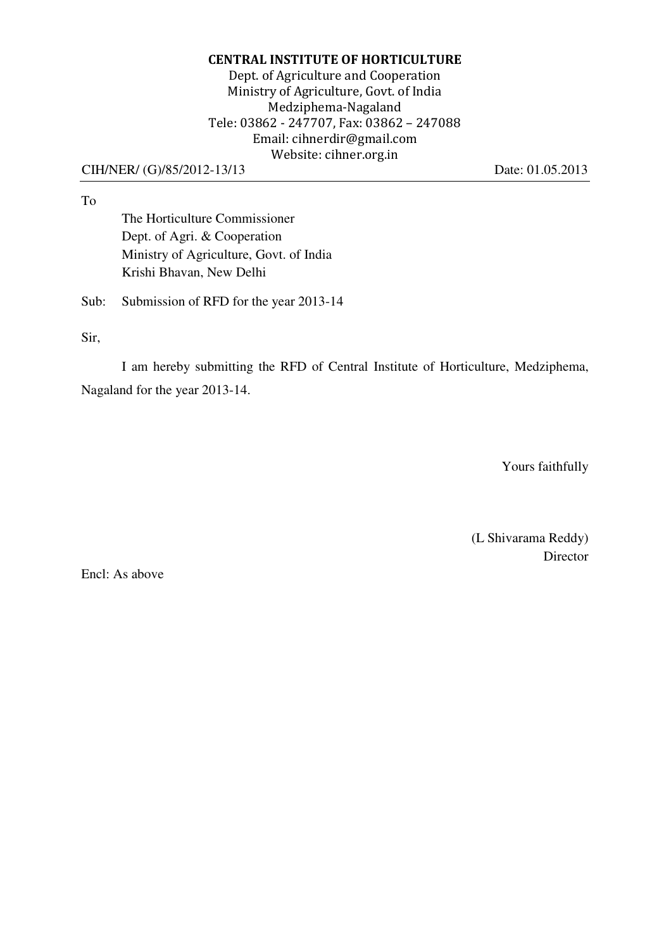### CENTRAL INSTITUTE OF HORTICULTURE Dept. of Agriculture and Cooperation Ministry of Agriculture, Govt. of India Medziphema-Nagaland Tele: 03862 - 247707, Fax: 03862 – 247088 Email: cihnerdir@gmail.com Website: cihner.org.in

#### CIH/NER/ (G)/85/2012-13/13 Date: 01.05.2013

To

The Horticulture Commissioner Dept. of Agri. & Cooperation Ministry of Agriculture, Govt. of India Krishi Bhavan, New Delhi

Sub: Submission of RFD for the year 2013-14

Sir,

I am hereby submitting the RFD of Central Institute of Horticulture, Medziphema, Nagaland for the year 2013-14.

Yours faithfully

(L Shivarama Reddy) Director

Encl: As above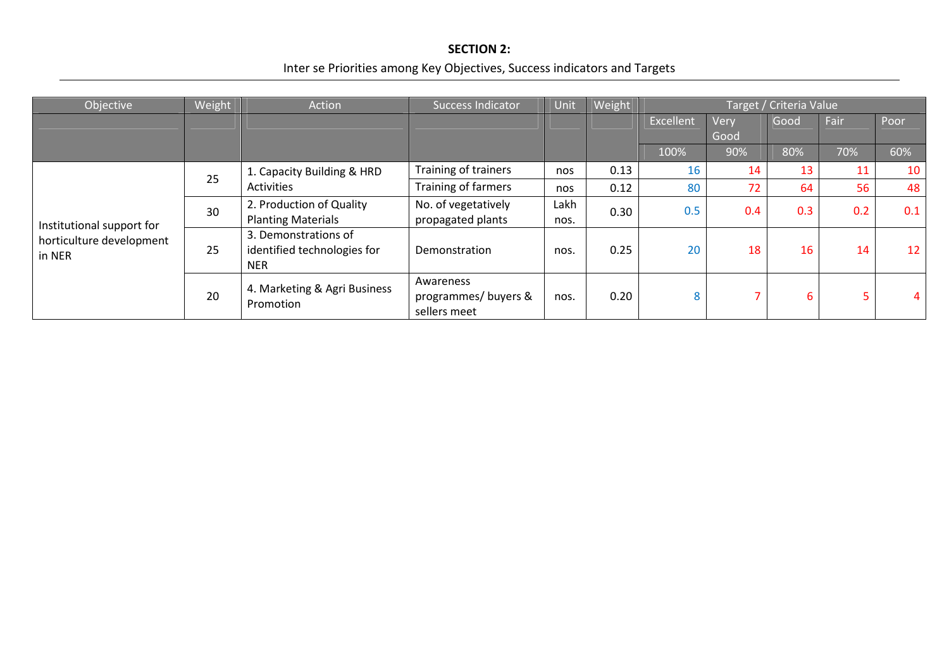### SECTION 2:

# Inter se Priorities among Key Objectives, Success indicators and Targets

| Objective                                                       | Weight | Action                                                            | <b>Success Indicator</b>                         | Unit         | Weight | Target / Criteria Value |      |      |      |                 |
|-----------------------------------------------------------------|--------|-------------------------------------------------------------------|--------------------------------------------------|--------------|--------|-------------------------|------|------|------|-----------------|
|                                                                 |        |                                                                   |                                                  |              |        | Excellent               | Very | Good | Fair | Poor            |
|                                                                 |        |                                                                   |                                                  |              |        |                         | Good |      |      |                 |
|                                                                 |        |                                                                   |                                                  |              |        | 100%                    | 90%  | 80%  | 70%  | 60%             |
| Institutional support for<br>horticulture development<br>in NER | 25     | 1. Capacity Building & HRD<br>Activities                          | Training of trainers                             | nos          | 0.13   | 16                      | 14   | 13   | 11   | 10              |
|                                                                 |        |                                                                   | Training of farmers                              | nos          | 0.12   | 80                      | 72   | 64   | 56   | 48              |
|                                                                 | 30     | 2. Production of Quality                                          | No. of vegetatively                              | Lakh<br>nos. | 0.30   | 0.5                     | 0.4  | 0.3  | 0.2  | 0.1             |
|                                                                 |        | <b>Planting Materials</b>                                         | propagated plants                                |              |        |                         |      |      |      |                 |
|                                                                 | 25     | 3. Demonstrations of<br>identified technologies for<br><b>NER</b> | Demonstration                                    | nos.         | 0.25   | 20                      | 18   | 16   | 14   | 12 <sub>1</sub> |
|                                                                 | 20     | 4. Marketing & Agri Business<br>Promotion                         | Awareness<br>programmes/buyers &<br>sellers meet | nos.         | 0.20   | 8                       |      | 6.   | 5    | 4               |